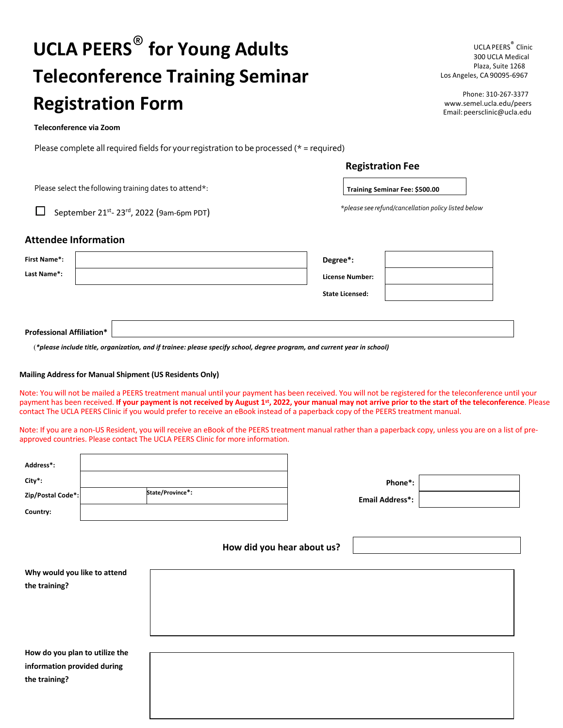# **UCLA PEERS**® **for Young Adults Teleconference Training Seminar Registration Form**

#### **Teleconference via Zoom**

Please complete all required fields for your registration to be processed ( $*$  = required)

| <b>UCLA PEERS<sup>®</sup> Clinic</b> |  |
|--------------------------------------|--|
| 300 UCLA Medical                     |  |
| Plaza. Suite 1268                    |  |
| Los Angeles, CA 90095-6967           |  |

Phone: 310-267-3377 www.semel.ucla.edu/peers Email: peersclinic@ucla.edu

|  | <b>Registration Fee</b> |
|--|-------------------------|
|  |                         |

**Training Seminar Fee: \$500.00**

*\*please see refund/cancellation policy listed below*

Please select the following training dates to attend\*:

П September 21<sup>st</sup>- 23<sup>rd</sup>, 2022 (9am-6pm PDT)

## **Attendee Information**

| <b>First Name*:</b> |      | Degree*:               |  |
|---------------------|------|------------------------|--|
| Last Name*:         |      | <b>License Number:</b> |  |
|                     |      | <b>State Licensed:</b> |  |
|                     |      |                        |  |
| . <i></i>           | als: |                        |  |

**Professional Affiliation\***

(*\*please include title, organization, and if trainee: please specify school, degree program, and current year in school)*

#### **Mailing Address for Manual Shipment (US Residents Only)**

Note: You will not be mailed a PEERS treatment manual until your payment has been received. You will not be registered for the teleconference until your payment has been received. **If your payment is not received by August 1st, 2022, your manual may not arrive prior to the start of the teleconference**. Please contact The UCLA PEERS Clinic if you would prefer to receive an eBook instead of a paperback copy of the PEERS treatment manual.

Note: If you are a non-US Resident, you will receive an eBook of the PEERS treatment manual rather than a paperback copy, unless you are on a list of preapproved countries. Please contact The UCLA PEERS Clinic for more information.

| Address*:         |                  |
|-------------------|------------------|
| City*:            |                  |
| Zip/Postal Code*: | State/Province*: |
| Country:          |                  |

| Phone*:                |  |
|------------------------|--|
| <b>Email Address*:</b> |  |

### **How did you hear about us?**

| Why would you like to attend   |  |
|--------------------------------|--|
| the training?                  |  |
|                                |  |
|                                |  |
|                                |  |
|                                |  |
| How do you plan to utilize the |  |
| information provided during    |  |
| the training?                  |  |
|                                |  |